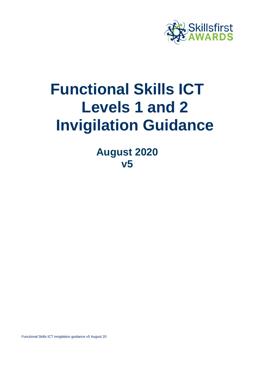

# **Functional Skills ICT Levels 1 and 2 Invigilation Guidance**

**August 2020 v5**

Functional Skills ICT invigilation guidance v5 August 20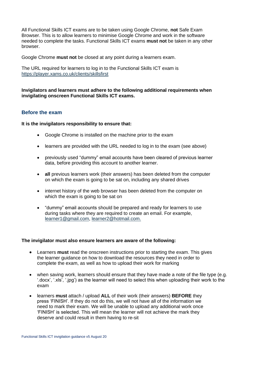All Functional Skills ICT exams are to be taken using Google Chrome, **not** Safe Exam Browser. This is to allow learners to minimise Google Chrome and work in the software needed to complete the tasks. Functional Skills ICT exams **must not** be taken in any other browser.

Google Chrome **must not** be closed at any point during a learners exam.

The URL required for learners to log in to the Functional Skills ICT exam is <https://player.xams.co.uk/clients/skillsfirst>

**Invigilators and learners must adhere to the following additional requirements when invigilating onscreen Functional Skills ICT exams.**

### **Before the exam**

**It is the invigilators responsibility to ensure that:**

- Google Chrome is installed on the machine prior to the exam
- learners are provided with the URL needed to log in to the exam (see above)
- previously used "dummy" email accounts have been cleared of previous learner data, before providing this account to another learner.
- **all** previous learners work (their answers) has been deleted from the computer on which the exam is going to be sat on, including any shared drives
- internet history of the web browser has been deleted from the computer on which the exam is going to be sat on
- "dummy" email accounts should be prepared and ready for learners to use during tasks where they are required to create an email. For example, [learner1@gmail.com,](mailto:learner1@gmail.com) [learner2@hotmail.com.](mailto:learner2@hotmail.com)

#### **The invigilator must also ensure learners are aware of the following:**

- Learners **must** read the onscreen instructions prior to starting the exam. This gives the learner guidance on how to download the resources they need in order to complete the exam, as well as how to upload their work for marking
- when saving work, learners should ensure that they have made a note of the file type (e.g. '.docx', '.xls', '.jpg') as the learner will need to select this when uploading their work to the exam
- learners **must** attach / upload **ALL** of their work (their answers) **BEFORE** they press 'FINISH'. If they do not do this, we will not have all of the information we need to mark their exam. We will be unable to upload any additional work once 'FINISH' is selected. This will mean the learner will not achieve the mark they deserve and could result in them having to re-sit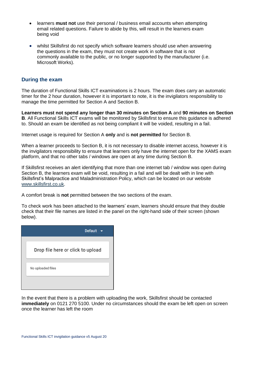- learners **must not** use their personal / business email accounts when attempting email related questions. Failure to abide by this, will result in the learners exam being void
- whilst Skillsfirst do not specify which software learners should use when answering the questions in the exam, they must not create work in software that is not commonly available to the public, or no longer supported by the manufacturer (i.e. Microsoft Works).

## **During the exam**

The duration of Functional Skills ICT examinations is 2 hours. The exam does carry an automatic timer for the 2 hour duration, however it is important to note, it is the invigilators responsibility to manage the time permitted for Section A and Section B.

**Learners must not spend any longer than 30 minutes on Section A** and **90 minutes on Section B**. All Functional Skills ICT exams will be monitored by Skillsfirst to ensure this guidance is adhered to. Should an exam be identified as not being compliant it will be voided, resulting in a fail.

Internet usage is required for Section A **only** and is **not permitted** for Section B.

When a learner proceeds to Section B, it is not necessary to disable internet access, however it is the invigilators responsibility to ensure that learners only have the internet open for the XAMS exam platform, and that no other tabs / windows are open at any time during Section B.

If Skillsfirst receives an alert identifying that more than one internet tab / window was open during Section B, the learners exam will be void, resulting in a fail and will be dealt with in line with Skillsfirst's Malpractice and Maladministration Policy, which can be located on our website [www.skillsfirst.co.uk.](http://www.skillsfirst.co.uk/)

A comfort break is **not** permitted between the two sections of the exam.

To check work has been attached to the learners' exam, learners should ensure that they double check that their file names are listed in the panel on the right-hand side of their screen (shown below).

| <b>Default</b>                    |
|-----------------------------------|
| Drop file here or click to upload |
| No uploaded files                 |
|                                   |

In the event that there is a problem with uploading the work, Skillsfirst should be contacted **immediately** on 0121 270 5100. Under no circumstances should the exam be left open on screen once the learner has left the room